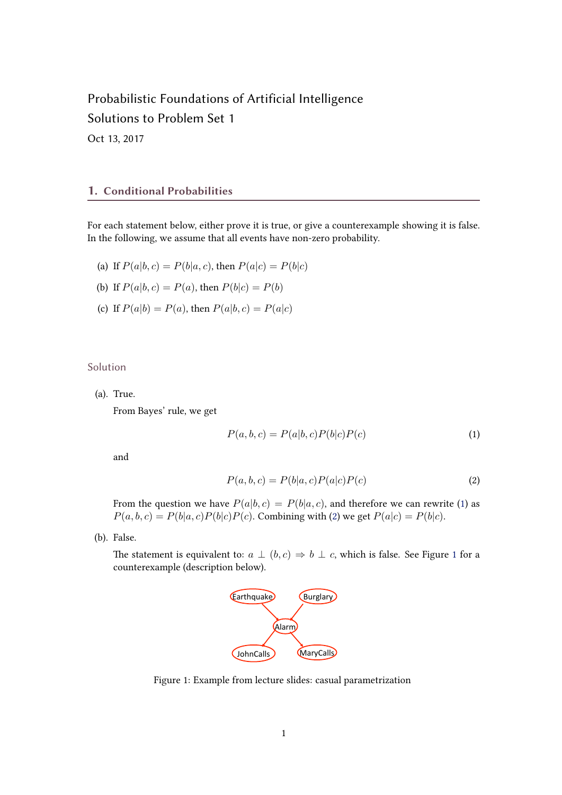# Probabilistic Foundations of Artificial Intelligence Solutions to Problem Set 1

Oct 13, 2017

#### 1. Conditional Probabilities

For each statement below, either prove it is true, or give a counterexample showing it is false. In the following, we assume that all events have non-zero probability.

- (a) If  $P(a|b, c) = P(b|a, c)$ , then  $P(a|c) = P(b|c)$
- (b) If  $P(a|b, c) = P(a)$ , then  $P(b|c) = P(b)$
- (c) If  $P(a|b) = P(a)$ , then  $P(a|b, c) = P(a|c)$

Solution

(a). True.

From Bayes' rule, we get

$$
P(a,b,c) = P(a|b,c)P(b|c)P(c)
$$
\n<sup>(1)</sup>

and

$$
P(a,b,c) = P(b|a,c)P(a|c)P(c)
$$
\n
$$
(2)
$$

From the question we have  $P(a|b, c) = P(b|a, c)$ , and therefore we can rewrite (1) as  $P(a, b, c) = P(b|a, c)P(b|c)P(c)$ . Combining with (2) we get  $P(a|c) = P(b|c)$ .

(b). False.

The statement is equivalent to:  $a \perp (b, c) \Rightarrow b \perp c$ , which is false. See Figure 1 for a counterexample (description below). atent to:  $\ddot{a} \perp (0, c)$ 



Figure 1: Example from lecture slides: casual parametrization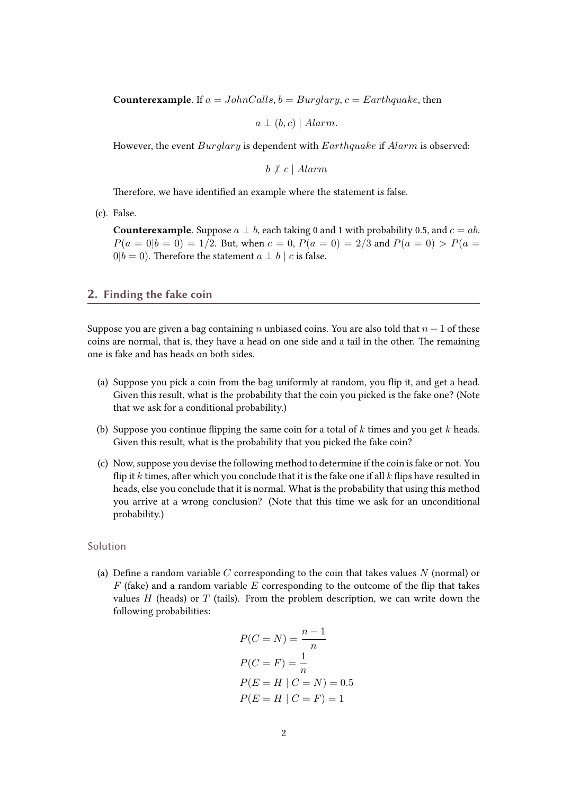**Counterexample.** If  $a = JohnCalls$ ,  $b = Buralary$ ,  $c = Earthquake$ , then

 $a \perp (b, c) \mid Alarm.$ 

However, the event Burglary is dependent with Earthquake if Alarm is observed:

 $b \not\perp c \mid Alarm$ 

Therefore, we have identified an example where the statement is false.

(c). False.

**Counterexample**. Suppose  $a \perp b$ , each taking 0 and 1 with probability 0.5, and  $c = ab$ .  $P(a = 0|b = 0) = 1/2$ . But, when  $c = 0$ ,  $P(a = 0) = 2/3$  and  $P(a = 0) > P(a = 0)$  $0|b = 0$ ). Therefore the statement  $a \perp b \mid c$  is false.

### 2. Finding the fake coin

Suppose you are given a bag containing n unbiased coins. You are also told that  $n-1$  of these coins are normal, that is, they have a head on one side and a tail in the other. The remaining one is fake and has heads on both sides.

- (a) Suppose you pick a coin from the bag uniformly at random, you flip it, and get a head. Given this result, what is the probability that the coin you picked is the fake one? (Note that we ask for a conditional probability.)
- (b) Suppose you continue flipping the same coin for a total of  $k$  times and you get  $k$  heads. Given this result, what is the probability that you picked the fake coin?
- (c) Now, suppose you devise the following method to determine if the coin is fake or not. You flip it k times, after which you conclude that it is the fake one if all  $k$  flips have resulted in heads, else you conclude that it is normal. What is the probability that using this method you arrive at a wrong conclusion? (Note that this time we ask for an unconditional probability.)

#### Solution

(a) Define a random variable C corresponding to the coin that takes values  $N$  (normal) or  $F$  (fake) and a random variable  $E$  corresponding to the outcome of the flip that takes values  $H$  (heads) or  $T$  (tails). From the problem description, we can write down the following probabilities:

$$
P(C = N) = \frac{n-1}{n}
$$
  
 
$$
P(C = F) = \frac{1}{n}
$$
  
 
$$
P(E = H | C = N) = 0.5
$$
  
 
$$
P(E = H | C = F) = 1
$$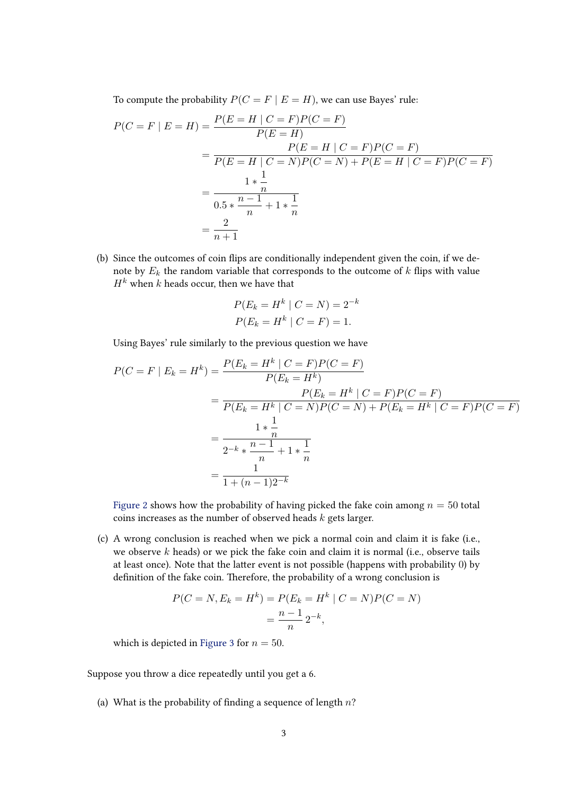To compute the probability  $P(C = F | E = H)$ , we can use Bayes' rule:

$$
P(C = F | E = H) = \frac{P(E = H | C = F)P(C = F)}{P(E = H)} \\
= \frac{P(E = H | C = F)P(C = F)}{P(E = H | C = N)P(C = N) + P(E = H | C = F)P(C = F)} \\
= \frac{1 * \frac{1}{n}}{0.5 * \frac{n-1}{n} + 1 * \frac{1}{n}} \\
= \frac{2}{n+1}
$$

(b) Since the outcomes of coin flips are conditionally independent given the coin, if we denote by  $E_k$  the random variable that corresponds to the outcome of  $k$  flips with value  $H^k$  when k heads occur, then we have that

$$
P(E_k = H^k | C = N) = 2^{-k}
$$
  
 
$$
P(E_k = H^k | C = F) = 1.
$$

Using Bayes' rule similarly to the previous question we have

$$
P(C = F | E_k = H^k) = \frac{P(E_k = H^k | C = F)P(C = F)}{P(E_k = H^k)}
$$
  
= 
$$
\frac{P(E_k = H^k | C = F)P(C = F)}{P(E_k = H^k | C = N)P(C = N) + P(E_k = H^k | C = F)P(C = F)}
$$
  
= 
$$
\frac{1 * \frac{1}{n}}{2^{-k} * \frac{n-1}{n} + 1 * \frac{1}{n}}
$$
  
= 
$$
\frac{1}{1 + (n-1)2^{-k}}
$$

[Figure 2](#page-3-0) shows how the probability of having picked the fake coin among  $n = 50$  total coins increases as the number of observed heads  $k$  gets larger.

(c) A wrong conclusion is reached when we pick a normal coin and claim it is fake (i.e., we observe  $k$  heads) or we pick the fake coin and claim it is normal (i.e., observe tails at least once). Note that the latter event is not possible (happens with probability 0) by definition of the fake coin. Therefore, the probability of a wrong conclusion is

$$
P(C = N, E_k = H^k) = P(E_k = H^k | C = N)P(C = N)
$$

$$
= \frac{n-1}{n} 2^{-k},
$$

which is depicted in [Figure 3](#page-3-0) for  $n = 50$ .

Suppose you throw a dice repeatedly until you get a 6.

(a) What is the probability of finding a sequence of length  $n$ ?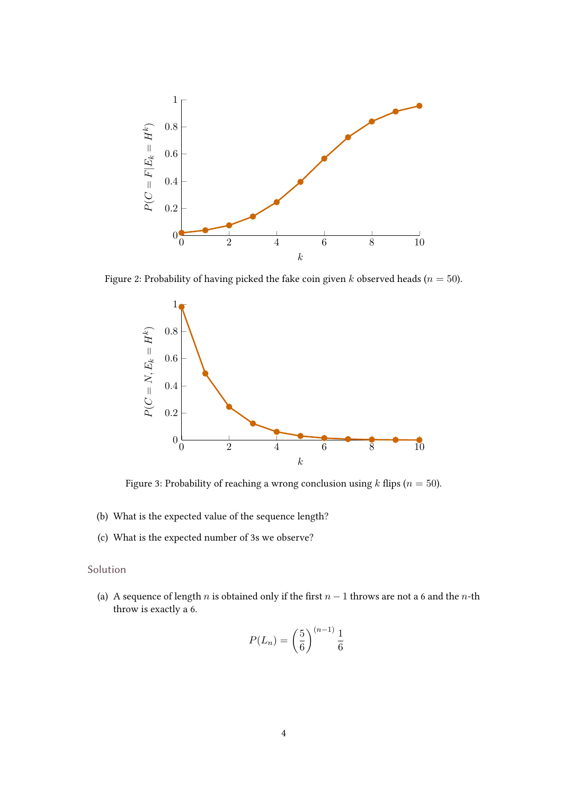<span id="page-3-0"></span>

Figure 2: Probability of having picked the fake coin given k observed heads ( $n = 50$ ).



Figure 3: Probability of reaching a wrong conclusion using  $k$  flips ( $n = 50$ ).

- (b) What is the expected value of the sequence length?
- (c) What is the expected number of 3s we observe?

## Solution

(a) A sequence of length n is obtained only if the first  $n - 1$  throws are not a 6 and the n-th throw is exactly a 6.

$$
P(L_n) = \left(\frac{5}{6}\right)^{(n-1)} \frac{1}{6}
$$